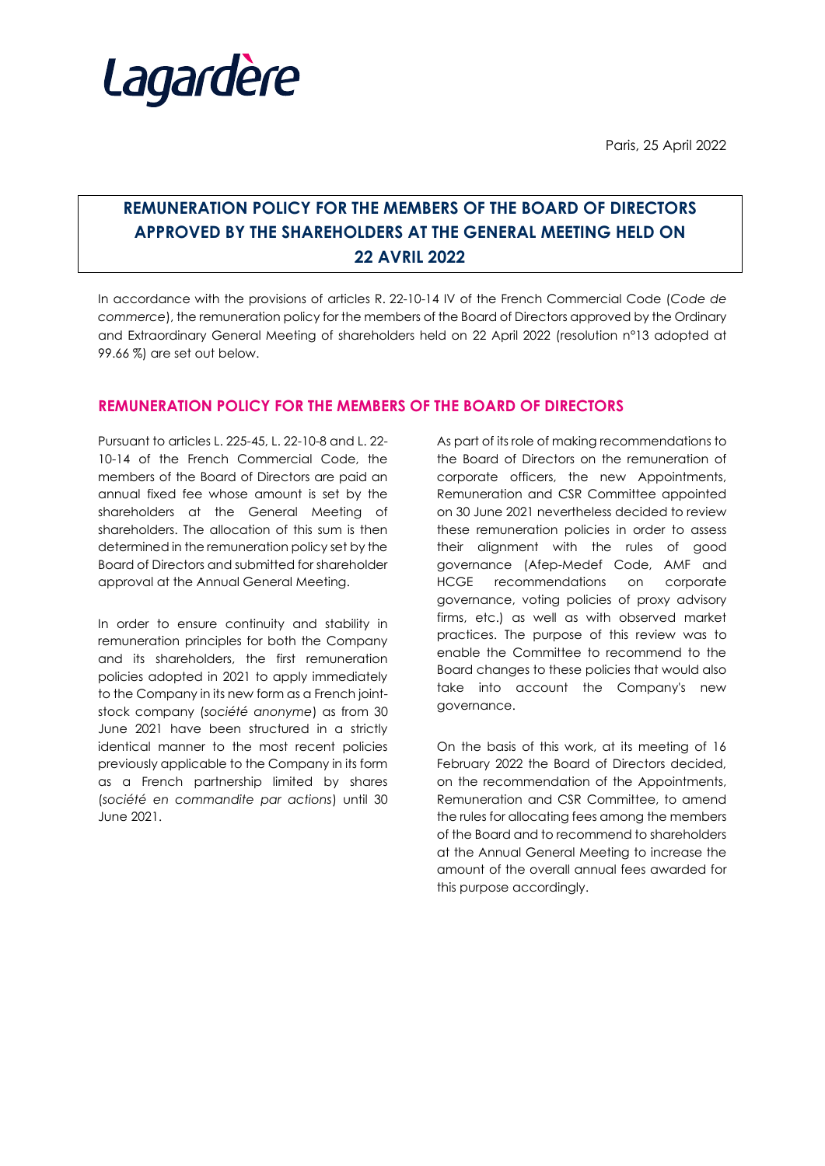

Paris, 25 April 2022

## **REMUNERATION POLICY FOR THE MEMBERS OF THE BOARD OF DIRECTORS APPROVED BY THE SHAREHOLDERS AT THE GENERAL MEETING HELD ON 22 AVRIL 2022**

In accordance with the provisions of articles R. 22-10-14 IV of the French Commercial Code (*Code de commerce*), the remuneration policy for the members of the Board of Directors approved by the Ordinary and Extraordinary General Meeting of shareholders held on 22 April 2022 (resolution n°13 adopted at 99.66 %) are set out below.

## **REMUNERATION POLICY FOR THE MEMBERS OF THE BOARD OF DIRECTORS**

Pursuant to articles L. 225-45, L. 22-10-8 and L. 22- 10-14 of the French Commercial Code, the members of the Board of Directors are paid an annual fixed fee whose amount is set by the shareholders at the General Meeting of shareholders. The allocation of this sum is then determined in the remuneration policy set by the Board of Directors and submitted for shareholder approval at the Annual General Meeting.

In order to ensure continuity and stability in remuneration principles for both the Company and its shareholders, the first remuneration policies adopted in 2021 to apply immediately to the Company in its new form as a French jointstock company (*société anonyme*) as from 30 June 2021 have been structured in a strictly identical manner to the most recent policies previously applicable to the Company in its form as a French partnership limited by shares (*société en commandite par actions*) until 30 June 2021.

As part of its role of making recommendations to the Board of Directors on the remuneration of corporate officers, the new Appointments, Remuneration and CSR Committee appointed on 30 June 2021 nevertheless decided to review these remuneration policies in order to assess their alignment with the rules of good governance (Afep-Medef Code, AMF and HCGE recommendations on corporate governance, voting policies of proxy advisory firms, etc.) as well as with observed market practices. The purpose of this review was to enable the Committee to recommend to the Board changes to these policies that would also take into account the Company's new governance.

On the basis of this work, at its meeting of 16 February 2022 the Board of Directors decided, on the recommendation of the Appointments, Remuneration and CSR Committee, to amend the rules for allocating fees among the members of the Board and to recommend to shareholders at the Annual General Meeting to increase the amount of the overall annual fees awarded for this purpose accordingly.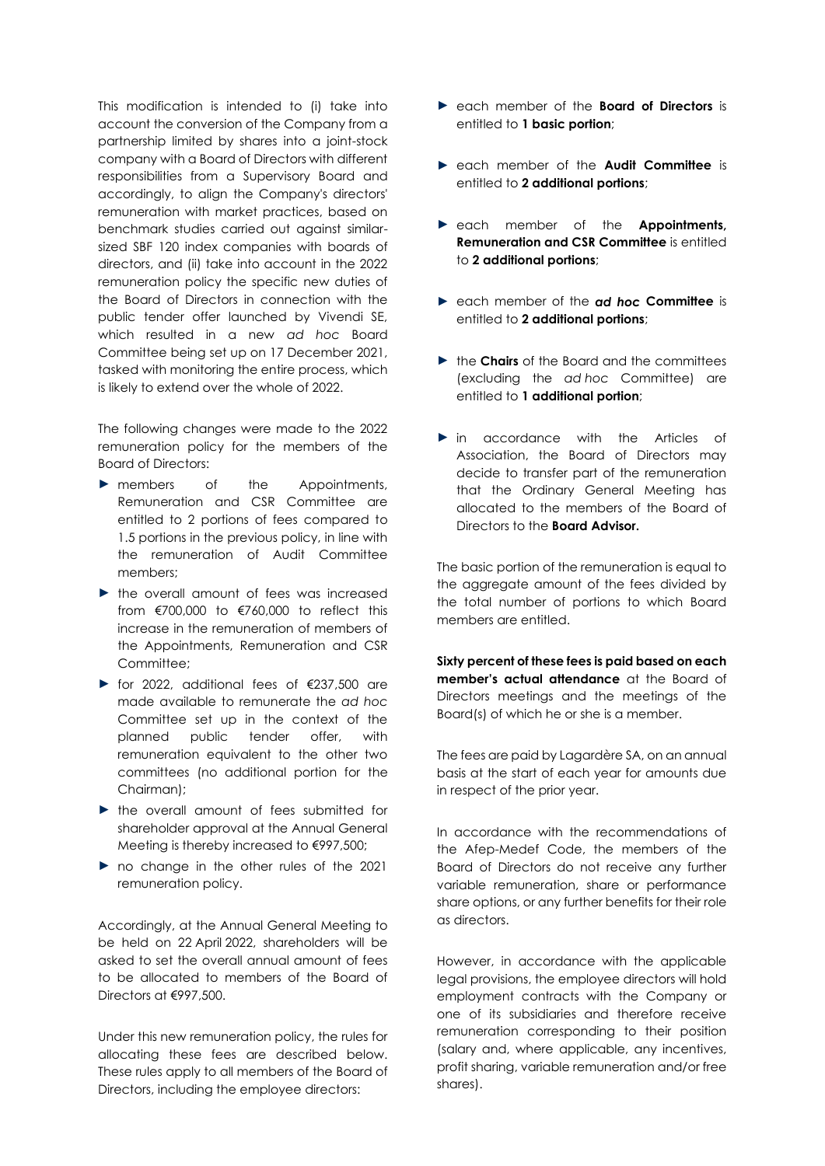This modification is intended to (i) take into account the conversion of the Company from a partnership limited by shares into a joint-stock company with a Board of Directors with different responsibilities from a Supervisory Board and accordingly, to align the Company's directors' remuneration with market practices, based on benchmark studies carried out against similarsized SBF 120 index companies with boards of directors, and (ii) take into account in the 2022 remuneration policy the specific new duties of the Board of Directors in connection with the public tender offer launched by Vivendi SE, which resulted in a new *ad hoc* Board Committee being set up on 17 December 2021, tasked with monitoring the entire process, which is likely to extend over the whole of 2022.

The following changes were made to the 2022 remuneration policy for the members of the Board of Directors:

- ► members of the Appointments, Remuneration and CSR Committee are entitled to 2 portions of fees compared to 1.5 portions in the previous policy, in line with the remuneration of Audit Committee members;
- ► the overall amount of fees was increased from €700,000 to €760,000 to reflect this increase in the remuneration of members of the Appointments, Remuneration and CSR Committee;
- ► for 2022, additional fees of €237,500 are made available to remunerate the *ad hoc* Committee set up in the context of the planned public tender offer, with remuneration equivalent to the other two committees (no additional portion for the Chairman);
- ► the overall amount of fees submitted for shareholder approval at the Annual General Meeting is thereby increased to €997,500;
- ► no change in the other rules of the 2021 remuneration policy.

Accordingly, at the Annual General Meeting to be held on 22 April 2022, shareholders will be asked to set the overall annual amount of fees to be allocated to members of the Board of Directors at €997,500.

Under this new remuneration policy, the rules for allocating these fees are described below. These rules apply to all members of the Board of Directors, including the employee directors:

- ► each member of the **Board of Directors** is entitled to **1 basic portion**;
- ► each member of the **Audit Committee** is entitled to **2 additional portions**;
- ► each member of the **Appointments, Remuneration and CSR Committee** is entitled to **2 additional portions**;
- ► each member of the *ad hoc* **Committee** is entitled to **2 additional portions**;
- ► the **Chairs** of the Board and the committees (excluding the *ad hoc* Committee) are entitled to **1 additional portion**;
- ► in accordance with the Articles of Association, the Board of Directors may decide to transfer part of the remuneration that the Ordinary General Meeting has allocated to the members of the Board of Directors to the **Board Advisor.**

The basic portion of the remuneration is equal to the aggregate amount of the fees divided by the total number of portions to which Board members are entitled.

**Sixty percent of these fees is paid based on each member's actual attendance** at the Board of Directors meetings and the meetings of the Board(s) of which he or she is a member.

The fees are paid by Lagardère SA, on an annual basis at the start of each year for amounts due in respect of the prior year.

In accordance with the recommendations of the Afep-Medef Code, the members of the Board of Directors do not receive any further variable remuneration, share or performance share options, or any further benefits for their role as directors.

However, in accordance with the applicable legal provisions, the employee directors will hold employment contracts with the Company or one of its subsidiaries and therefore receive remuneration corresponding to their position (salary and, where applicable, any incentives, profit sharing, variable remuneration and/or free shares).